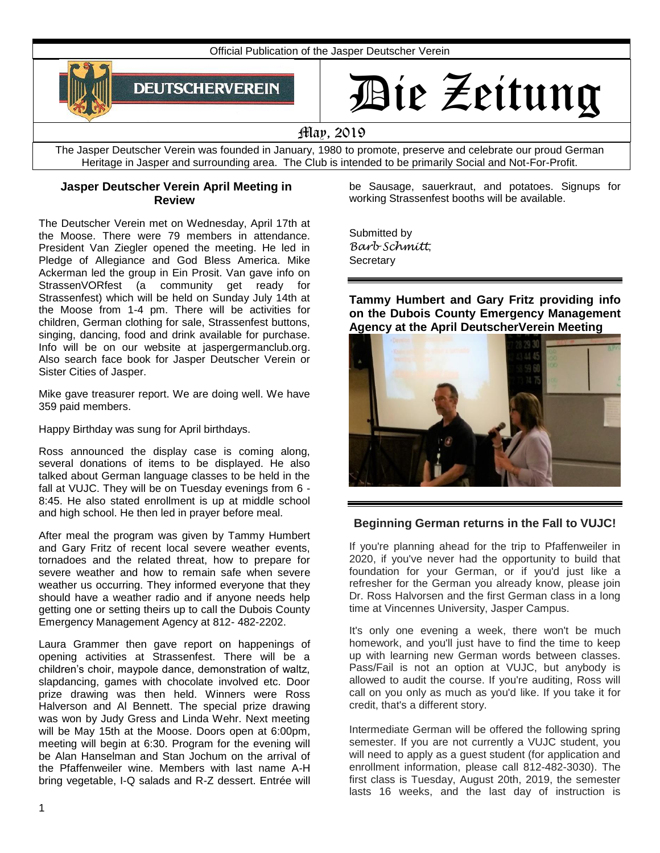

# Die Zeitung

# May, 2019

The Jasper Deutscher Verein was founded in January, 1980 to promote, preserve and celebrate our proud German Heritage in Jasper and surrounding area. The Club is intended to be primarily Social and Not-For-Profit.

#### **Jasper Deutscher Verein April Meeting in Review**

The Deutscher Verein met on Wednesday, April 17th at the Moose. There were 79 members in attendance. President Van Ziegler opened the meeting. He led in Pledge of Allegiance and God Bless America. Mike Ackerman led the group in Ein Prosit. Van gave info on StrassenVORfest (a community get ready for Strassenfest) which will be held on Sunday July 14th at the Moose from 1-4 pm. There will be activities for children, German clothing for sale, Strassenfest buttons, singing, dancing, food and drink available for purchase. Info will be on our website at jaspergermanclub.org. Also search face book for Jasper Deutscher Verein or Sister Cities of Jasper.

Mike gave treasurer report. We are doing well. We have 359 paid members.

Happy Birthday was sung for April birthdays.

Ross announced the display case is coming along, several donations of items to be displayed. He also talked about German language classes to be held in the fall at VUJC. They will be on Tuesday evenings from 6 - 8:45. He also stated enrollment is up at middle school and high school. He then led in prayer before meal.

After meal the program was given by Tammy Humbert and Gary Fritz of recent local severe weather events, tornadoes and the related threat, how to prepare for severe weather and how to remain safe when severe weather us occurring. They informed everyone that they should have a weather radio and if anyone needs help getting one or setting theirs up to call the Dubois County Emergency Management Agency at 812- 482-2202.

Laura Grammer then gave report on happenings of opening activities at Strassenfest. There will be a children's choir, maypole dance, demonstration of waltz, slapdancing, games with chocolate involved etc. Door prize drawing was then held. Winners were Ross Halverson and Al Bennett. The special prize drawing was won by Judy Gress and Linda Wehr. Next meeting will be May 15th at the Moose. Doors open at 6:00pm, meeting will begin at 6:30. Program for the evening will be Alan Hanselman and Stan Jochum on the arrival of the Pfaffenweiler wine. Members with last name A-H bring vegetable, I-Q salads and R-Z dessert. Entrée will be Sausage, sauerkraut, and potatoes. Signups for working Strassenfest booths will be available.

Submitted by *Barb Schmitt*, **Secretary** 

**Tammy Humbert and Gary Fritz providing info on the Dubois County Emergency Management Agency at the April DeutscherVerein Meeting**



# **Beginning German returns in the Fall to VUJC!**

If you're planning ahead for the trip to Pfaffenweiler in 2020, if you've never had the opportunity to build that foundation for your German, or if you'd just like a refresher for the German you already know, please join Dr. Ross Halvorsen and the first German class in a long time at Vincennes University, Jasper Campus.

It's only one evening a week, there won't be much homework, and you'll just have to find the time to keep up with learning new German words between classes. Pass/Fail is not an option at VUJC, but anybody is allowed to audit the course. If you're auditing, Ross will call on you only as much as you'd like. If you take it for credit, that's a different story.

Intermediate German will be offered the following spring semester. If you are not currently a VUJC student, you will need to apply as a guest student (for application and enrollment information, please call 812-482-3030). The first class is Tuesday, August 20th, 2019, the semester lasts 16 weeks, and the last day of instruction is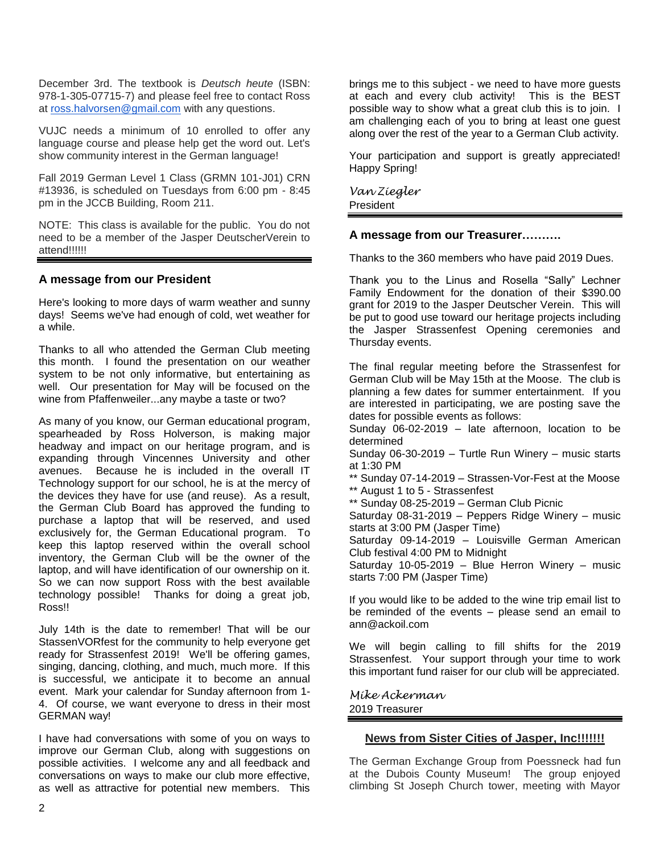December 3rd. The textbook is *Deutsch heute* (ISBN: 978-1-305-07715-7) and please feel free to contact Ross at [ross.halvorsen@gmail.com](mailto:ross.halvorsen@gmail.com) with any questions.

VUJC needs a minimum of 10 enrolled to offer any language course and please help get the word out. Let's show community interest in the German language!

Fall 2019 German Level 1 Class (GRMN 101-J01) CRN #13936, is scheduled on Tuesdays from 6:00 pm - 8:45 pm in the JCCB Building, Room 211.

NOTE: This class is available for the public. You do not need to be a member of the Jasper DeutscherVerein to attend!!!!!!

### **A message from our President**

Here's looking to more days of warm weather and sunny days! Seems we've had enough of cold, wet weather for a while.

Thanks to all who attended the German Club meeting this month. I found the presentation on our weather system to be not only informative, but entertaining as well. Our presentation for May will be focused on the wine from Pfaffenweiler...any maybe a taste or two?

As many of you know, our German educational program, spearheaded by Ross Holverson, is making major headway and impact on our heritage program, and is expanding through Vincennes University and other avenues. Because he is included in the overall IT Technology support for our school, he is at the mercy of the devices they have for use (and reuse). As a result, the German Club Board has approved the funding to purchase a laptop that will be reserved, and used exclusively for, the German Educational program. To keep this laptop reserved within the overall school inventory, the German Club will be the owner of the laptop, and will have identification of our ownership on it. So we can now support Ross with the best available technology possible! Thanks for doing a great job, Ross!!

July 14th is the date to remember! That will be our StassenVORfest for the community to help everyone get ready for Strassenfest 2019! We'll be offering games, singing, dancing, clothing, and much, much more. If this is successful, we anticipate it to become an annual event. Mark your calendar for Sunday afternoon from 1- 4. Of course, we want everyone to dress in their most GERMAN way!

I have had conversations with some of you on ways to improve our German Club, along with suggestions on possible activities. I welcome any and all feedback and conversations on ways to make our club more effective, as well as attractive for potential new members. This

brings me to this subject - we need to have more guests at each and every club activity! This is the BEST possible way to show what a great club this is to join. I am challenging each of you to bring at least one guest along over the rest of the year to a German Club activity.

Your participation and support is greatly appreciated! Happy Spring!

*Van Ziegler* President

#### **A message from our Treasurer……….**

Thanks to the 360 members who have paid 2019 Dues.

Thank you to the Linus and Rosella "Sally" Lechner Family Endowment for the donation of their \$390.00 grant for 2019 to the Jasper Deutscher Verein. This will be put to good use toward our heritage projects including the Jasper Strassenfest Opening ceremonies and Thursday events.

The final regular meeting before the Strassenfest for German Club will be May 15th at the Moose. The club is planning a few dates for summer entertainment. If you are interested in participating, we are posting save the dates for possible events as follows:

Sunday 06-02-2019 – late afternoon, location to be determined

Sunday 06-30-2019 – Turtle Run Winery – music starts at 1:30 PM

\*\* Sunday 07-14-2019 – Strassen-Vor-Fest at the Moose \*\* August 1 to 5 - Strassenfest

\*\* Sunday 08-25-2019 – German Club Picnic

Saturday 08-31-2019 – Peppers Ridge Winery – music starts at 3:00 PM (Jasper Time)

Saturday 09-14-2019 – Louisville German American Club festival 4:00 PM to Midnight

Saturday 10-05-2019 – Blue Herron Winery – music starts 7:00 PM (Jasper Time)

If you would like to be added to the wine trip email list to be reminded of the events – please send an email to ann@ackoil.com

We will begin calling to fill shifts for the 2019 Strassenfest. Your support through your time to work this important fund raiser for our club will be appreciated.

*Mike Ackerman* 2019 Treasurer

#### **News from Sister Cities of Jasper, Inc!!!!!!!**

The German Exchange Group from Poessneck had fun at the Dubois County Museum! The group enjoyed climbing St Joseph Church tower, meeting with Mayor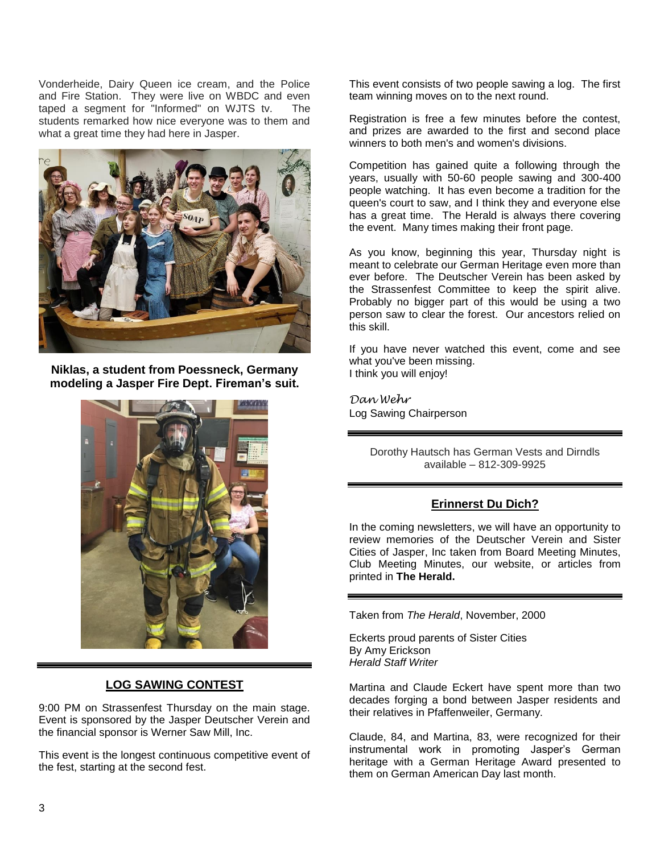Vonderheide, Dairy Queen ice cream, and the Police and Fire Station. They were live on WBDC and even taped a segment for "Informed" on WJTS tv. The students remarked how nice everyone was to them and what a great time they had here in Jasper.



**Niklas, a student from Poessneck, Germany modeling a Jasper Fire Dept. Fireman's suit.**



# **LOG SAWING CONTEST**

9:00 PM on Strassenfest Thursday on the main stage. Event is sponsored by the Jasper Deutscher Verein and the financial sponsor is Werner Saw Mill, Inc.

This event is the longest continuous competitive event of the fest, starting at the second fest.

This event consists of two people sawing a log. The first team winning moves on to the next round.

Registration is free a few minutes before the contest, and prizes are awarded to the first and second place winners to both men's and women's divisions.

Competition has gained quite a following through the years, usually with 50-60 people sawing and 300-400 people watching. It has even become a tradition for the queen's court to saw, and I think they and everyone else has a great time. The Herald is always there covering the event. Many times making their front page.

As you know, beginning this year, Thursday night is meant to celebrate our German Heritage even more than ever before. The Deutscher Verein has been asked by the Strassenfest Committee to keep the spirit alive. Probably no bigger part of this would be using a two person saw to clear the forest. Our ancestors relied on this skill.

If you have never watched this event, come and see what you've been missing. I think you will enjoy!

*Dan Wehr* Log Sawing Chairperson

> Dorothy Hautsch has German Vests and Dirndls available – 812-309-9925

# **Erinnerst Du Dich?**

In the coming newsletters, we will have an opportunity to review memories of the Deutscher Verein and Sister Cities of Jasper, Inc taken from Board Meeting Minutes, Club Meeting Minutes, our website, or articles from printed in **The Herald.**

Taken from *The Herald*, November, 2000

Eckerts proud parents of Sister Cities By Amy Erickson *Herald Staff Writer*

Martina and Claude Eckert have spent more than two decades forging a bond between Jasper residents and their relatives in Pfaffenweiler, Germany.

Claude, 84, and Martina, 83, were recognized for their instrumental work in promoting Jasper's German heritage with a German Heritage Award presented to them on German American Day last month.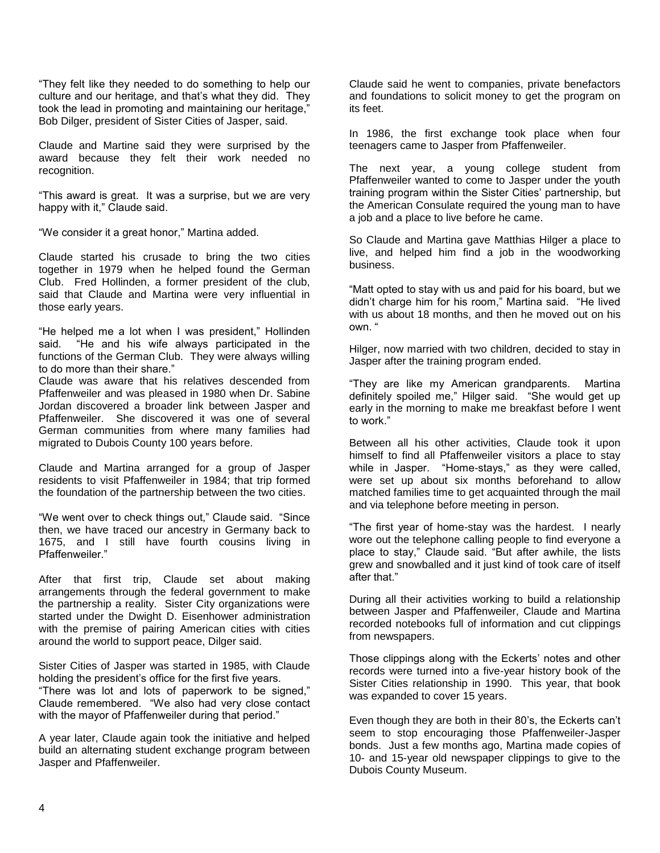"They felt like they needed to do something to help our culture and our heritage, and that's what they did. They took the lead in promoting and maintaining our heritage," Bob Dilger, president of Sister Cities of Jasper, said.

Claude and Martine said they were surprised by the award because they felt their work needed no recognition.

"This award is great. It was a surprise, but we are very happy with it," Claude said.

"We consider it a great honor," Martina added.

Claude started his crusade to bring the two cities together in 1979 when he helped found the German Club. Fred Hollinden, a former president of the club, said that Claude and Martina were very influential in those early years.

"He helped me a lot when I was president," Hollinden said. "He and his wife always participated in the functions of the German Club. They were always willing to do more than their share."

Claude was aware that his relatives descended from Pfaffenweiler and was pleased in 1980 when Dr. Sabine Jordan discovered a broader link between Jasper and Pfaffenweiler. She discovered it was one of several German communities from where many families had migrated to Dubois County 100 years before.

Claude and Martina arranged for a group of Jasper residents to visit Pfaffenweiler in 1984; that trip formed the foundation of the partnership between the two cities.

"We went over to check things out," Claude said. "Since then, we have traced our ancestry in Germany back to 1675, and I still have fourth cousins living in Pfaffenweiler."

After that first trip, Claude set about making arrangements through the federal government to make the partnership a reality. Sister City organizations were started under the Dwight D. Eisenhower administration with the premise of pairing American cities with cities around the world to support peace, Dilger said.

Sister Cities of Jasper was started in 1985, with Claude holding the president's office for the first five years.

"There was lot and lots of paperwork to be signed," Claude remembered. "We also had very close contact with the mayor of Pfaffenweiler during that period."

A year later, Claude again took the initiative and helped build an alternating student exchange program between Jasper and Pfaffenweiler.

Claude said he went to companies, private benefactors and foundations to solicit money to get the program on its feet.

In 1986, the first exchange took place when four teenagers came to Jasper from Pfaffenweiler.

The next year, a young college student from Pfaffenweiler wanted to come to Jasper under the youth training program within the Sister Cities' partnership, but the American Consulate required the young man to have a job and a place to live before he came.

So Claude and Martina gave Matthias Hilger a place to live, and helped him find a job in the woodworking business.

"Matt opted to stay with us and paid for his board, but we didn't charge him for his room," Martina said. "He lived with us about 18 months, and then he moved out on his own. "

Hilger, now married with two children, decided to stay in Jasper after the training program ended.

"They are like my American grandparents. Martina definitely spoiled me," Hilger said. "She would get up early in the morning to make me breakfast before I went to work."

Between all his other activities, Claude took it upon himself to find all Pfaffenweiler visitors a place to stay while in Jasper. "Home-stays," as they were called, were set up about six months beforehand to allow matched families time to get acquainted through the mail and via telephone before meeting in person.

"The first year of home-stay was the hardest. I nearly wore out the telephone calling people to find everyone a place to stay," Claude said. "But after awhile, the lists grew and snowballed and it just kind of took care of itself after that."

During all their activities working to build a relationship between Jasper and Pfaffenweiler, Claude and Martina recorded notebooks full of information and cut clippings from newspapers.

Those clippings along with the Eckerts' notes and other records were turned into a five-year history book of the Sister Cities relationship in 1990. This year, that book was expanded to cover 15 years.

Even though they are both in their 80's, the Eckerts can't seem to stop encouraging those Pfaffenweiler-Jasper bonds. Just a few months ago, Martina made copies of 10- and 15-year old newspaper clippings to give to the Dubois County Museum.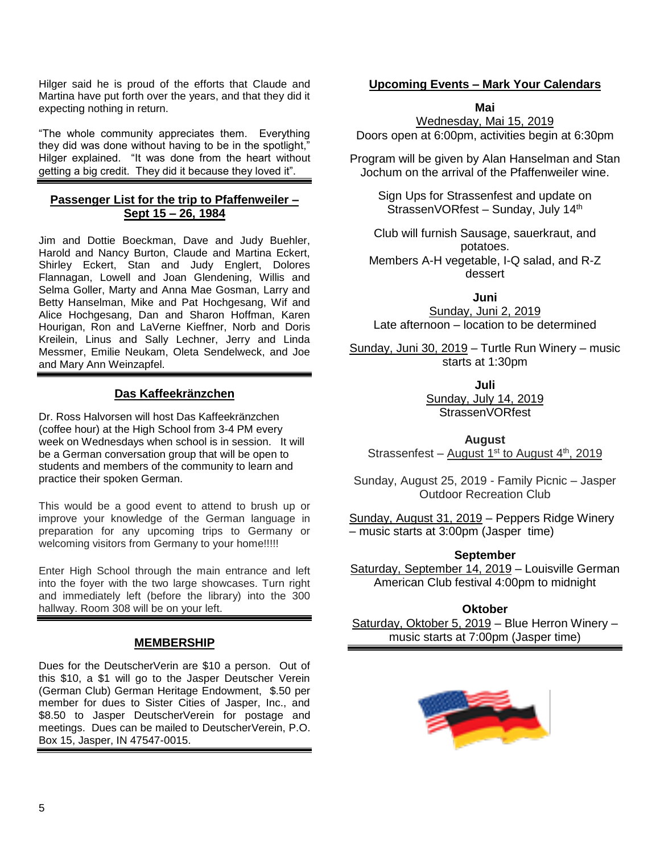Hilger said he is proud of the efforts that Claude and Martina have put forth over the years, and that they did it expecting nothing in return.

"The whole community appreciates them. Everything they did was done without having to be in the spotlight," Hilger explained. "It was done from the heart without getting a big credit. They did it because they loved it".

# **Passenger List for the trip to Pfaffenweiler – Sept 15 – 26, 1984**

Jim and Dottie Boeckman, Dave and Judy Buehler, Harold and Nancy Burton, Claude and Martina Eckert, Shirley Eckert, Stan and Judy Englert, Dolores Flannagan, Lowell and Joan Glendening, Willis and Selma Goller, Marty and Anna Mae Gosman, Larry and Betty Hanselman, Mike and Pat Hochgesang, Wif and Alice Hochgesang, Dan and Sharon Hoffman, Karen Hourigan, Ron and LaVerne Kieffner, Norb and Doris Kreilein, Linus and Sally Lechner, Jerry and Linda Messmer, Emilie Neukam, Oleta Sendelweck, and Joe and Mary Ann Weinzapfel.

# **Das Kaffeekränzchen**

Dr. Ross Halvorsen will host Das Kaffeekränzchen (coffee hour) at the High School from 3-4 PM every week on Wednesdays when school is in session. It will be a German conversation group that will be open to students and members of the community to learn and practice their spoken German.

This would be a good event to attend to brush up or improve your knowledge of the German language in preparation for any upcoming trips to Germany or welcoming visitors from Germany to your home!!!!!

Enter High School through the main entrance and left into the foyer with the two large showcases. Turn right and immediately left (before the library) into the 300 hallway. Room 308 will be on your left.

# **MEMBERSHIP**

Dues for the DeutscherVerin are \$10 a person. Out of this \$10, a \$1 will go to the Jasper Deutscher Verein (German Club) German Heritage Endowment, \$.50 per member for dues to Sister Cities of Jasper, Inc., and \$8.50 to Jasper DeutscherVerein for postage and meetings. Dues can be mailed to DeutscherVerein, P.O. Box 15, Jasper, IN 47547-0015.

# **Upcoming Events – Mark Your Calendars**

#### **Mai**

Wednesday, Mai 15, 2019 Doors open at 6:00pm, activities begin at 6:30pm

Program will be given by Alan Hanselman and Stan Jochum on the arrival of the Pfaffenweiler wine.

> Sign Ups for Strassenfest and update on StrassenVORfest - Sunday, July 14<sup>th</sup>

Club will furnish Sausage, sauerkraut, and potatoes. Members A-H vegetable, I-Q salad, and R-Z dessert

**Juni**

Sunday, Juni 2, 2019 Late afternoon – location to be determined

Sunday, Juni 30, 2019 – Turtle Run Winery – music starts at 1:30pm

**Juli**

Sunday, July 14, 2019 StrassenVORfest

**August** Strassenfest – August  $1<sup>st</sup>$  to August  $4<sup>th</sup>$ , 2019

Sunday, August 25, 2019 - Family Picnic – Jasper Outdoor Recreation Club

Sunday, August 31, 2019 – Peppers Ridge Winery – music starts at 3:00pm (Jasper time)

**September**

Saturday, September 14, 2019 – Louisville German American Club festival 4:00pm to midnight

**Oktober**

Saturday, Oktober 5, 2019 – Blue Herron Winery – music starts at 7:00pm (Jasper time)

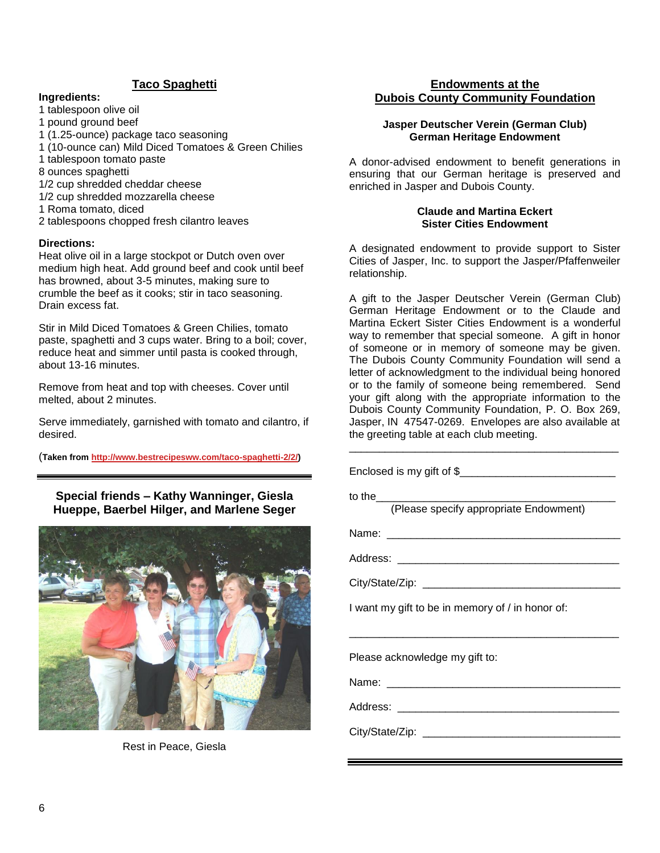# **Taco Spaghetti**

#### **Ingredients:**

- 1 tablespoon olive oil
- 1 pound ground beef
- 1 (1.25-ounce) package taco seasoning
- 1 (10-ounce can) Mild Diced Tomatoes & Green Chilies
- 1 tablespoon tomato paste
- 8 ounces spaghetti
- 1/2 cup shredded cheddar cheese
- 1/2 cup shredded mozzarella cheese
- 1 Roma tomato, diced
- 2 tablespoons chopped fresh cilantro leaves

#### **Directions:**

Heat olive oil in a large stockpot or Dutch oven over medium high heat. Add ground beef and cook until beef has browned, about 3-5 minutes, making sure to crumble the beef as it cooks; stir in taco seasoning. Drain excess fat.

Stir in Mild Diced Tomatoes & Green Chilies, tomato paste, spaghetti and 3 cups water. Bring to a boil; cover, reduce heat and simmer until pasta is cooked through, about 13-16 minutes.

Remove from heat and top with cheeses. Cover until melted, about 2 minutes.

Serve immediately, garnished with tomato and cilantro, if desired.

(**Taken fro[m http://www.bestrecipesww.com/taco-spaghetti-2/2/\)](http://www.bestrecipesww.com/taco-spaghetti-2/2/)**

#### **Special friends – Kathy Wanninger, Giesla Hueppe, Baerbel Hilger, and Marlene Seger**



Rest in Peace, Giesla

### **Endowments at the Dubois County Community Foundation**

#### **Jasper Deutscher Verein (German Club) German Heritage Endowment**

A donor-advised endowment to benefit generations in ensuring that our German heritage is preserved and enriched in Jasper and Dubois County.

#### **Claude and Martina Eckert Sister Cities Endowment**

A designated endowment to provide support to Sister Cities of Jasper, Inc. to support the Jasper/Pfaffenweiler relationship.

A gift to the Jasper Deutscher Verein (German Club) German Heritage Endowment or to the Claude and Martina Eckert Sister Cities Endowment is a wonderful way to remember that special someone. A gift in honor of someone or in memory of someone may be given. The Dubois County Community Foundation will send a letter of acknowledgment to the individual being honored or to the family of someone being remembered. Send your gift along with the appropriate information to the Dubois County Community Foundation, P. O. Box 269, Jasper, IN 47547-0269. Envelopes are also available at the greeting table at each club meeting.

\_\_\_\_\_\_\_\_\_\_\_\_\_\_\_\_\_\_\_\_\_\_\_\_\_\_\_\_\_\_\_\_\_\_\_\_\_\_\_\_\_\_\_\_\_

Enclosed is my gift of  $$$ to the (Please specify appropriate Endowment) Name: Address: \_\_\_\_\_\_\_\_\_\_\_\_\_\_\_\_\_\_\_\_\_\_\_\_\_\_\_\_\_\_\_\_\_\_\_\_\_ City/State/Zip: I want my gift to be in memory of / in honor of: \_\_\_\_\_\_\_\_\_\_\_\_\_\_\_\_\_\_\_\_\_\_\_\_\_\_\_\_\_\_\_\_\_\_\_\_\_\_\_\_\_\_\_\_\_ Please acknowledge my gift to: Name: Address: \_\_\_\_\_\_\_\_\_\_\_\_\_\_\_\_\_\_\_\_\_\_\_\_\_\_\_\_\_\_\_\_\_\_\_\_\_ City/State/Zip: \_\_\_\_\_\_\_\_\_\_\_\_\_\_\_\_\_\_\_\_\_\_\_\_\_\_\_\_\_\_\_\_\_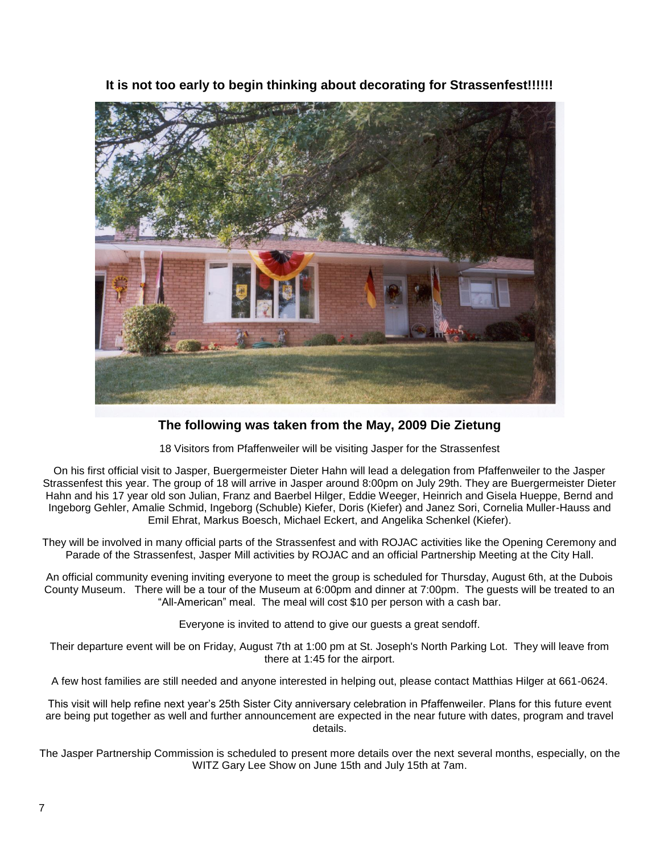

**It is not too early to begin thinking about decorating for Strassenfest!!!!!!**

# **The following was taken from the May, 2009 Die Zietung**

18 Visitors from Pfaffenweiler will be visiting Jasper for the Strassenfest

On his first official visit to Jasper, Buergermeister Dieter Hahn will lead a delegation from Pfaffenweiler to the Jasper Strassenfest this year. The group of 18 will arrive in Jasper around 8:00pm on July 29th. They are Buergermeister Dieter Hahn and his 17 year old son Julian, Franz and Baerbel Hilger, Eddie Weeger, Heinrich and Gisela Hueppe, Bernd and Ingeborg Gehler, Amalie Schmid, Ingeborg (Schuble) Kiefer, Doris (Kiefer) and Janez Sori, Cornelia Muller-Hauss and Emil Ehrat, Markus Boesch, Michael Eckert, and Angelika Schenkel (Kiefer).

They will be involved in many official parts of the Strassenfest and with ROJAC activities like the Opening Ceremony and Parade of the Strassenfest, Jasper Mill activities by ROJAC and an official Partnership Meeting at the City Hall.

An official community evening inviting everyone to meet the group is scheduled for Thursday, August 6th, at the Dubois County Museum. There will be a tour of the Museum at 6:00pm and dinner at 7:00pm. The guests will be treated to an "All-American" meal. The meal will cost \$10 per person with a cash bar.

Everyone is invited to attend to give our guests a great sendoff.

Their departure event will be on Friday, August 7th at 1:00 pm at St. Joseph's North Parking Lot. They will leave from there at 1:45 for the airport.

A few host families are still needed and anyone interested in helping out, please contact Matthias Hilger at 661-0624.

This visit will help refine next year's 25th Sister City anniversary celebration in Pfaffenweiler. Plans for this future event are being put together as well and further announcement are expected in the near future with dates, program and travel details.

The Jasper Partnership Commission is scheduled to present more details over the next several months, especially, on the WITZ Gary Lee Show on June 15th and July 15th at 7am.